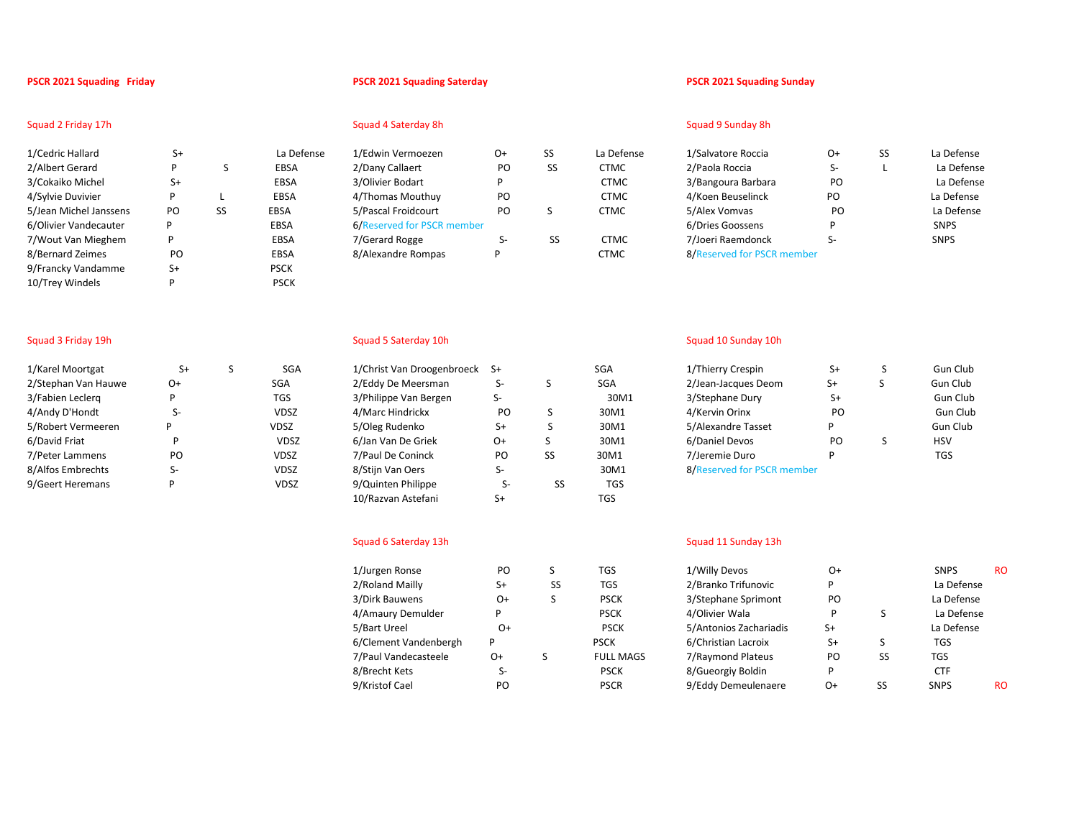| 1/Cedric Hallard       | $S+$ |    | La Defense  | 1/Edwin Vermoezen          | O+  | SS | La Defense  | 1/Salvatore Roccia         |
|------------------------|------|----|-------------|----------------------------|-----|----|-------------|----------------------------|
| 2/Albert Gerard        | D    |    | EBSA        | 2/Dany Callaert            | PO. | SS | <b>CTMC</b> | 2/Paola Roccia             |
| 3/Cokaiko Michel       | $S+$ |    | <b>EBSA</b> | 3/Olivier Bodart           |     |    | <b>CTMC</b> | 3/Bangoura Barbara         |
| 4/Sylvie Duvivier      | D    |    | EBSA        | 4/Thomas Mouthuy           | PO  |    | <b>CTMC</b> | 4/Koen Beuselinck          |
| 5/Jean Michel Janssens | PO   | SS | EBSA        | 5/Pascal Froidcourt        | PO  | C  | <b>CTMC</b> | 5/Alex Vomvas              |
| 6/Olivier Vandecauter  | P    |    | EBSA        | 6/Reserved for PSCR member |     |    |             | 6/Dries Goossens           |
| 7/Wout Van Mieghem     | D    |    | <b>EBSA</b> | 7/Gerard Rogge             | 5-  | SS | <b>CTMC</b> | 7/Joeri Raemdonck          |
| 8/Bernard Zeimes       | PO   |    | <b>EBSA</b> | 8/Alexandre Rompas         | P   |    | <b>CTMC</b> | 8/Reserved for PSCR member |
| 9/Francky Vandamme     | S+   |    | <b>PSCK</b> |                            |     |    |             |                            |
| 10/Trey Windels        |      |    | <b>PSCK</b> |                            |     |    |             |                            |

# Squad 2 Friday 17h Squad 9 Sunday 8h Squad 4 Saterday 8h Squad 9 Sunday 8h Squad 9 Sunday 8h Squad 9 Sunday 8h

| dwin Vermoezen          | 0+ | SS | La D |
|-------------------------|----|----|------|
| any Callaert            | PO | SS | CT۱  |
| llivier Bodart          | P  |    | CTI  |
| homas Mouthuy           | PO |    | CTI  |
| ascal Froidcourt        | PO | S  | CTN  |
| eserved for PSCR member |    |    |      |
| erard Rogge             | S- | SS | CTI  |
| lexandre Rompas         |    |    | T٨   |
|                         |    |    |      |

### **PSCR 2021 Squading Friday PSCR 2021 Squading Saterday PSCR 2021 Squading Sunday**

| 1/Cedric Hallard       |     | La Defense  | 1/Edwin Vermoezen          | 0+ | SS | La Defense  | 1/Salvatore Roccia         | Ο+ | La Defense  |
|------------------------|-----|-------------|----------------------------|----|----|-------------|----------------------------|----|-------------|
| 2/Albert Gerard        |     | EBSA        | 2/Dany Callaert            | PO |    | CTMC        | 2/Paola Roccia             |    | La Defense  |
| 3/Cokaiko Michel       |     | EBSA        | 3/Olivier Bodart           |    |    | <b>CTMC</b> | 3/Bangoura Barbara         | PO | La Defense  |
| 4/Sylvie Duvivier      |     | <b>EBSA</b> | 4/Thomas Mouthuy           | PO |    | <b>CTMC</b> | 4/Koen Beuselinck          | PO | La Defense  |
| 5/Jean Michel Janssens | PO. | <b>EBSA</b> | 5/Pascal Froidcourt        | PO |    | <b>CTMC</b> | 5/Alex Vomvas              | PO | La Defense  |
| 6/Olivier Vandecauter  |     | <b>EBSA</b> | 6/Reserved for PSCR member |    |    |             | 6/Dries Goossens           |    | <b>SNPS</b> |
| 7/Wout Van Mieghem     |     | EBSA        | 7/Gerard Rogge             |    |    | <b>CTMC</b> | 7/Joeri Raemdonck          |    | <b>SNPS</b> |
| 8/Bernard Zeimes       | PΟ  | <b>EBSA</b> | 8/Alexandre Rompas         |    |    | стмс        | 8/Reserved for PSCR member |    |             |

| 1/Karel Moortgat    | S+ | S | SG               |
|---------------------|----|---|------------------|
| 2/Stephan Van Hauwe | 0+ |   | SGA              |
| 3/Fabien Leclerg    | P  |   | TGS              |
| 4/Andy D'Hondt      | S- |   | VDS <sub>2</sub> |
| 5/Robert Vermeeren  | P  |   | VDSZ             |
| 6/David Friat       | P  |   | <b>VDS</b>       |
| 7/Peter Lammens     | PO |   | <b>VDS2</b>      |
| 8/Alfos Embrechts   | S- |   | VDS <sub>2</sub> |
| 9/Geert Heremans    | P  |   | VDS.             |
|                     |    |   |                  |

| 1/Karel Moortgat    | $S+$ | <b>SGA</b>  | 1/Christ Van Droogenbroeck | - S+ |    | <b>SGA</b> | 1/Thierry Crespin          |
|---------------------|------|-------------|----------------------------|------|----|------------|----------------------------|
| 2/Stephan Van Hauwe | 0+   | <b>SGA</b>  | 2/Eddy De Meersman         | S-   |    | <b>SGA</b> | 2/Jean-Jacques Deom        |
| 3/Fabien Leclerg    |      | TGS         | 3/Philippe Van Bergen      | S-   |    | 30M1       | 3/Stephane Dury            |
| 4/Andy D'Hondt      | S-   | <b>VDSZ</b> | 4/Marc Hindrickx           | PO   |    | 30M1       | 4/Kervin Orinx             |
| 5/Robert Vermeeren  |      | <b>VDSZ</b> | 5/Oleg Rudenko             | $S+$ |    | 30M1       | 5/Alexandre Tasset         |
| 6/David Friat       |      | <b>VDSZ</b> | 6/Jan Van De Griek         | 0+   |    | 30M1       | 6/Daniel Devos             |
| 7/Peter Lammens     | PO   | <b>VDSZ</b> | 7/Paul De Coninck          | PO   | SS | 30M1       | 7/Jeremie Duro             |
| 8/Alfos Embrechts   | S-   | <b>VDSZ</b> | 8/Stijn Van Oers           | S-   |    | 30M1       | 8/Reserved for PSCR member |
| 9/Geert Heremans    |      | <b>VDSZ</b> | 9/Quinten Philippe         | 5-   | SS | <b>TGS</b> |                            |
|                     |      |             | 10/Razvan Astefani         | S+   |    | TGS        |                            |

### Squad 6 Saterday 13h Squad 11 Sunday 13h

| 1/Jurgen Ronse        | PO   |    | TGS              | 1/Willy Devos          | 0+   |    | <b>SNPS</b> |
|-----------------------|------|----|------------------|------------------------|------|----|-------------|
| 2/Roland Mailly       | S+   | SS | TGS              | 2/Branko Trifunovic    | P    |    | La Defense  |
| 3/Dirk Bauwens        | 0+   | S  | <b>PSCK</b>      | 3/Stephane Sprimont    | PO.  |    | La Defense  |
| 4/Amaury Demulder     |      |    | <b>PSCK</b>      | 4/Olivier Wala         |      |    | La Defense  |
| 5/Bart Ureel          | O+   |    | <b>PSCK</b>      | 5/Antonios Zachariadis | $S+$ |    | La Defense  |
| 6/Clement Vandenbergh | P    |    | <b>PSCK</b>      | 6/Christian Lacroix    | S+   |    | TGS         |
| 7/Paul Vandecasteele  | $O+$ |    | <b>FULL MAGS</b> | 7/Raymond Plateus      | PO   | SS | <b>TGS</b>  |
| 8/Brecht Kets         | S-   |    | <b>PSCK</b>      | 8/Gueorgiy Boldin      | Þ    |    | <b>CTF</b>  |
| 9/Kristof Cael        | PO   |    | <b>PSCR</b>      | 9/Eddy Demeulenaere    | $O+$ | SS | <b>SNPS</b> |
|                       |      |    |                  |                        |      |    |             |

### Squad 3 Friday 19h Squad 10 Sunday 10h Squad 5 Saterday 10h Squad 5 Saterday 10h Squad 10 Sunday 10h Squad 10 Sunday 10h Squad 10 Sunday 10h Squad 10 Sunday 10h Squad 10 Sunday 10h Squad 10 Sunday 10h Squad 10 Sunday 10h S

| 1/Karel Moortgat    | S+ | SGA         | 1/Christ Van Droogenbroeck S+ |      | SGA  | 1/Thierry Crespin          | S+        | Gun Club   |
|---------------------|----|-------------|-------------------------------|------|------|----------------------------|-----------|------------|
| 2/Stephan Van Hauwe | Ο+ | SGA         | 2/Eddy De Meersman            |      | SGA  | 2/Jean-Jacques Deom        | S+        | Gun Club   |
| 3/Fabien Leclerg    |    | <b>TGS</b>  | 3/Philippe Van Bergen         |      | 30M1 | 3/Stephane Dury            | S+        | Gun Club   |
| 4/Andy D'Hondt      |    | <b>VDSZ</b> | 4/Marc Hindrickx              | PO   | 30M1 | 4/Kervin Orinx             | <b>PO</b> | Gun Club   |
| 5/Robert Vermeeren  |    | VDSZ        | 5/Oleg Rudenko                | S+   | 30M1 | 5/Alexandre Tasset         |           | Gun Club   |
| 6/David Friat       |    | <b>VDSZ</b> | 6/Jan Van De Griek            | $O+$ | 30M1 | 6/Daniel Devos             | PO        | <b>HSV</b> |
| 7/Peter Lammens     | PO | <b>VDSZ</b> | 7/Paul De Coninck             | PO   | 30M1 | 7/Jeremie Duro             |           | <b>TGS</b> |
| 8/Alfos Embrechts   |    | <b>VDSZ</b> | 8/Stijn Van Oers              |      | 30M1 | 8/Reserved for PSCR member |           |            |

| 1/Jurgen Ronse        | PO   |    | TGS              | 1/Willy Devos          | O+   |    | <b>SNPS</b> | <b>RO</b> |  |
|-----------------------|------|----|------------------|------------------------|------|----|-------------|-----------|--|
|                       |      |    |                  |                        |      |    |             |           |  |
| 2/Roland Mailly       | $S+$ | SS | TGS              | 2/Branko Trifunovic    | D    |    | La Defense  |           |  |
| 3/Dirk Bauwens        | $O+$ |    | <b>PSCK</b>      | 3/Stephane Sprimont    | PO   |    | La Defense  |           |  |
| 4/Amaury Demulder     | D    |    | <b>PSCK</b>      | 4/Olivier Wala         |      |    | La Defense  |           |  |
| 5/Bart Ureel          | O+   |    | <b>PSCK</b>      | 5/Antonios Zachariadis | $S+$ |    | La Defense  |           |  |
| 6/Clement Vandenbergh |      |    | <b>PSCK</b>      | 6/Christian Lacroix    | S+   |    | TGS         |           |  |
| 7/Paul Vandecasteele  | O+   |    | <b>FULL MAGS</b> | 7/Raymond Plateus      | PO.  | SS | TGS         |           |  |
| 8/Brecht Kets         | S-   |    | <b>PSCK</b>      | 8/Gueorgiy Boldin      | D    |    | <b>CTF</b>  |           |  |
| 9/Kristof Cael        | PO   |    | <b>PSCR</b>      | 9/Eddy Demeulenaere    | O+   | SS | <b>SNPS</b> | <b>RO</b> |  |
|                       |      |    |                  |                        |      |    |             |           |  |